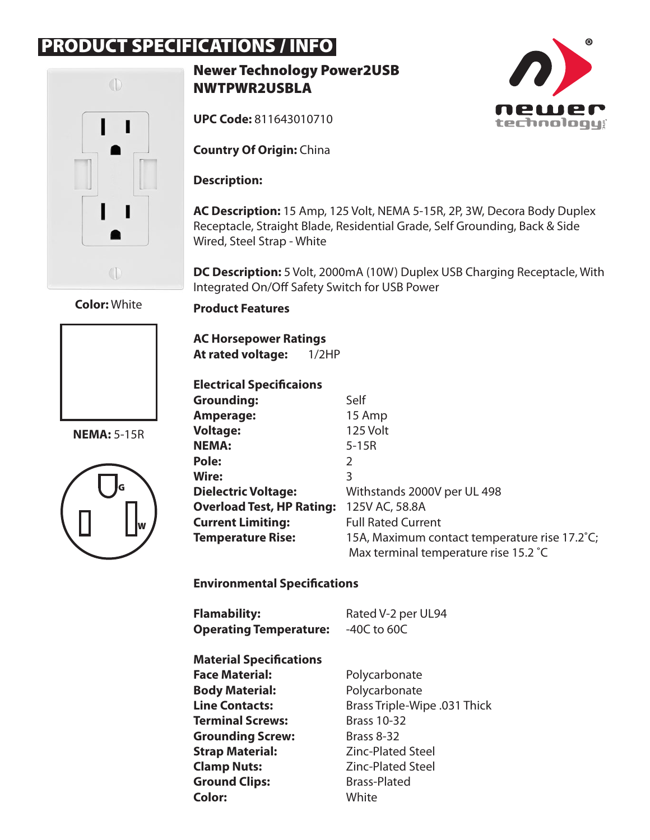## PRODUCT SPECIFICATIONS / INFO



Newer Technology Power2USB NWTPWR2USBLA

**UPC Code:** 811643010710

**Country Of Origin:** China

**Description:** 

**AC Description:** 15 Amp, 125 Volt, NEMA 5-15R, 2P, 3W, Decora Body Duplex Receptacle, Straight Blade, Residential Grade, Self Grounding, Back & Side Wired, Steel Strap - White

**DC Description:** 5 Volt, 2000mA (10W) Duplex USB Charging Receptacle, With Integrated On/Off Safety Switch for USB Power

**Color:** White



**NEMA:** 5-15R



**Product Features**

**AC Horsepower Ratings At rated voltage:** 1/2HP

**Electrical Specificaions**

| Grounding:                       | Self                                          |
|----------------------------------|-----------------------------------------------|
| Amperage:                        | 15 Amp                                        |
| <b>Voltage:</b>                  | 125 Volt                                      |
| <b>NEMA:</b>                     | $5-15R$                                       |
| Pole:                            | 2                                             |
| <b>Wire:</b>                     | 3                                             |
| <b>Dielectric Voltage:</b>       | Withstands 2000V per UL 498                   |
| <b>Overload Test, HP Rating:</b> | 125V AC, 58.8A                                |
| <b>Current Limiting:</b>         | <b>Full Rated Current</b>                     |
| <b>Temperature Rise:</b>         | 15A, Maximum contact temperature rise 17.2°C; |
|                                  | Max terminal temperature rise 15.2 °C         |

## **Environmental Specifications**

| <b>Flamability:</b><br><b>Operating Temperature:</b> | Rated V-2 per UL94<br>$-40C$ to 60C |
|------------------------------------------------------|-------------------------------------|
| <b>Material Specifications</b>                       |                                     |
| <b>Face Material:</b>                                | Polycarbonate                       |
| <b>Body Material:</b>                                | Polycarbonate                       |
| <b>Line Contacts:</b>                                | Brass Triple-Wipe .031 Thick        |
| <b>Terminal Screws:</b>                              | <b>Brass 10-32</b>                  |
| <b>Grounding Screw:</b>                              | <b>Brass 8-32</b>                   |
| <b>Strap Material:</b>                               | <b>Zinc-Plated Steel</b>            |
| <b>Clamp Nuts:</b>                                   | <b>Zinc-Plated Steel</b>            |
| <b>Ground Clips:</b>                                 | <b>Brass-Plated</b>                 |
| <b>Color:</b>                                        | White                               |

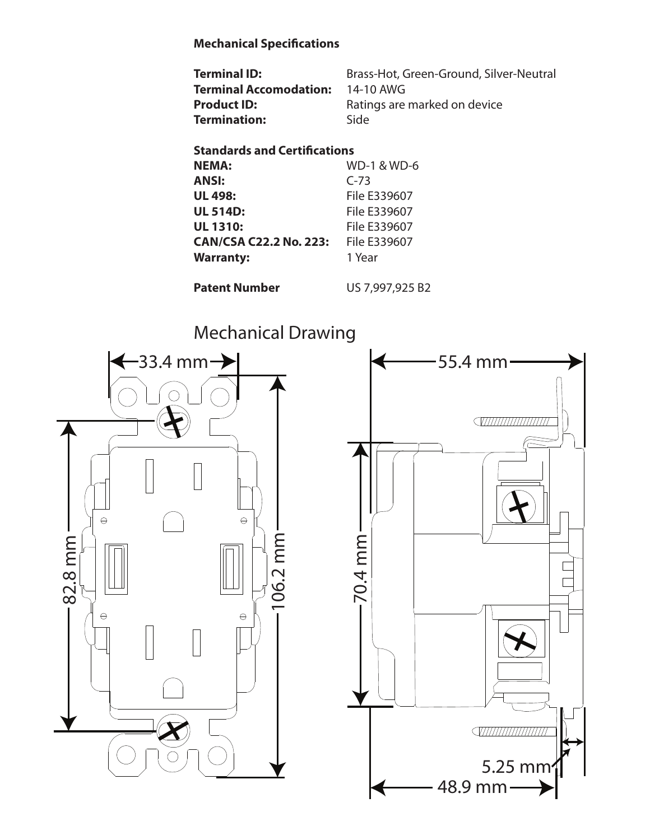## **Mechanical Specifications**

| <b>Terminal ID:</b>    | Brass-Hot, Green-Ground, Silver-Neutral |
|------------------------|-----------------------------------------|
| Terminal Accomodation: | 14-10 AWG                               |
| <b>Product ID:</b>     | Ratings are marked on device            |
| Termination:           | Side                                    |

## **Standards and Certifications**

| <b>NEMA:</b>                  | <b>WD-1 &amp; WD-6</b> |
|-------------------------------|------------------------|
| <b>ANSI:</b>                  | $C-73$                 |
| <b>UL 498:</b>                | File E339607           |
| <b>UL 514D:</b>               | File E339607           |
| <b>UL 1310:</b>               | File E339607           |
| <b>CAN/CSA C22.2 No. 223:</b> | File E339607           |
| <b>Warranty:</b>              | 1 Year                 |
|                               |                        |

**Patent Number US 7,997,925 B2**